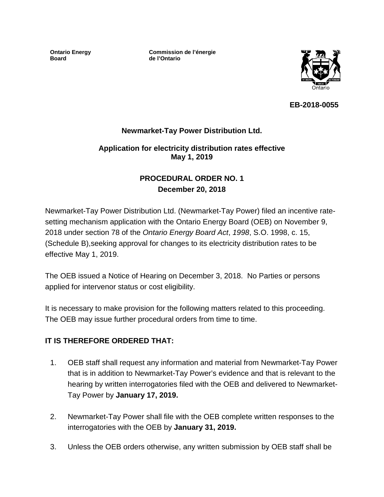**Ontario Energy Board**

**Commission de l'énergie de l'Ontario**



**EB-2018-0055**

# **Newmarket-Tay Power Distribution Ltd.**

### **Application for electricity distribution rates effective May 1, 2019**

# **PROCEDURAL ORDER NO. 1 December 20, 2018**

Newmarket-Tay Power Distribution Ltd. (Newmarket-Tay Power) filed an incentive ratesetting mechanism application with the Ontario Energy Board (OEB) on November 9, 2018 under section 78 of the *Ontario Energy Board Act*, *1998*, S.O. 1998, c. 15, (Schedule B),seeking approval for changes to its electricity distribution rates to be effective May 1, 2019.

The OEB issued a Notice of Hearing on December 3, 2018. No Parties or persons applied for intervenor status or cost eligibility.

It is necessary to make provision for the following matters related to this proceeding. The OEB may issue further procedural orders from time to time.

#### **IT IS THEREFORE ORDERED THAT:**

- 1. OEB staff shall request any information and material from Newmarket-Tay Power that is in addition to Newmarket-Tay Power's evidence and that is relevant to the hearing by written interrogatories filed with the OEB and delivered to Newmarket-Tay Power by **January 17, 2019.**
- 2. Newmarket-Tay Power shall file with the OEB complete written responses to the interrogatories with the OEB by **January 31, 2019.**
- 3. Unless the OEB orders otherwise, any written submission by OEB staff shall be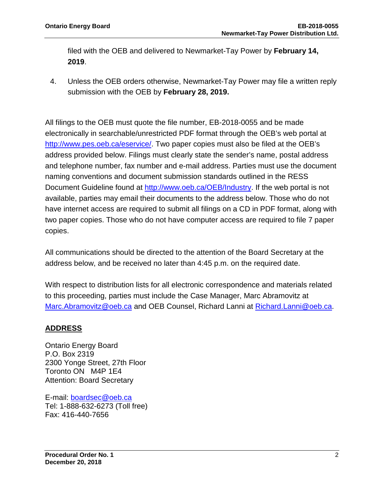filed with the OEB and delivered to Newmarket-Tay Power by **February 14, 2019**.

4. Unless the OEB orders otherwise, Newmarket-Tay Power may file a written reply submission with the OEB by **February 28, 2019.**

All filings to the OEB must quote the file number, EB-2018-0055 and be made electronically in searchable/unrestricted PDF format through the OEB's web portal at [http://www.pes.oeb.ca/eservice/.](http://www.pes.oeb.ca/eservice/) Two paper copies must also be filed at the OEB's address provided below. Filings must clearly state the sender's name, postal address and telephone number, fax number and e-mail address. Parties must use the document naming conventions and document submission standards outlined in the RESS Document Guideline found at [http://www.oeb.ca/OEB/Industry.](http://www.oeb.ca/OEB/Industry) If the web portal is not available, parties may email their documents to the address below. Those who do not have internet access are required to submit all filings on a CD in PDF format, along with two paper copies. Those who do not have computer access are required to file 7 paper copies.

All communications should be directed to the attention of the Board Secretary at the address below, and be received no later than 4:45 p.m. on the required date.

With respect to distribution lists for all electronic correspondence and materials related to this proceeding, parties must include the Case Manager, Marc Abramovitz at Marc.Abramovitz@oeb.ca and OEB Counsel, Richard Lanni at Richard.Lanni@oeb.ca.

# **ADDRESS**

Ontario Energy Board P.O. Box 2319 2300 Yonge Street, 27th Floor Toronto ON M4P 1E4 Attention: Board Secretary

E-mail: [boardsec@oeb.ca](mailto:boardsec@oeb.ca) Tel: 1-888-632-6273 (Toll free) Fax: 416-440-7656